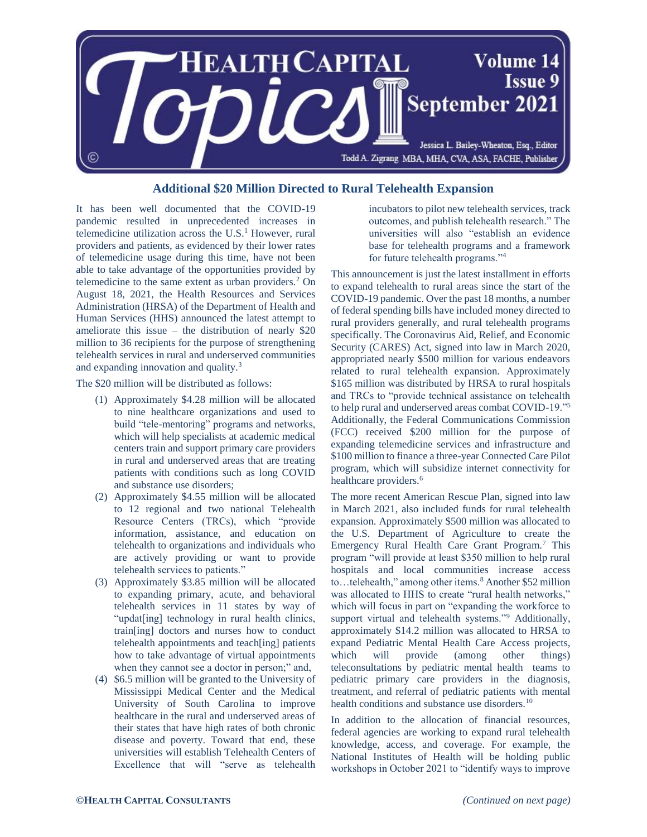

## **Additional \$20 Million Directed to Rural Telehealth Expansion**

It has been well documented that the COVID-19 pandemic resulted in unprecedented increases in telemedicine utilization across the U.S. <sup>1</sup> However, rural providers and patients, as evidenced by their lower rates of telemedicine usage during this time, have not been able to take advantage of the opportunities provided by telemedicine to the same extent as urban providers.<sup>2</sup> On August 18, 2021, the Health Resources and Services Administration (HRSA) of the Department of Health and Human Services (HHS) announced the latest attempt to ameliorate this issue – the distribution of nearly \$20 million to 36 recipients for the purpose of strengthening telehealth services in rural and underserved communities and expanding innovation and quality.<sup>3</sup>

The \$20 million will be distributed as follows:

- (1) Approximately \$4.28 million will be allocated to nine healthcare organizations and used to build "tele-mentoring" programs and networks, which will help specialists at academic medical centers train and support primary care providers in rural and underserved areas that are treating patients with conditions such as long COVID and substance use disorders;
- (2) Approximately \$4.55 million will be allocated to 12 regional and two national Telehealth Resource Centers (TRCs), which "provide information, assistance, and education on telehealth to organizations and individuals who are actively providing or want to provide telehealth services to patients."
- (3) Approximately \$3.85 million will be allocated to expanding primary, acute, and behavioral telehealth services in 11 states by way of "updat[ing] technology in rural health clinics, train[ing] doctors and nurses how to conduct telehealth appointments and teach[ing] patients how to take advantage of virtual appointments when they cannot see a doctor in person;" and,
- (4) \$6.5 million will be granted to the University of Mississippi Medical Center and the Medical University of South Carolina to improve healthcare in the rural and underserved areas of their states that have high rates of both chronic disease and poverty. Toward that end, these universities will establish Telehealth Centers of Excellence that will "serve as telehealth

incubators to pilot new telehealth services, track outcomes, and publish telehealth research." The universities will also "establish an evidence base for telehealth programs and a framework for future telehealth programs."<sup>4</sup>

This announcement is just the latest installment in efforts to expand telehealth to rural areas since the start of the COVID-19 pandemic. Over the past 18 months, a number of federal spending bills have included money directed to rural providers generally, and rural telehealth programs specifically. The Coronavirus Aid, Relief, and Economic Security (CARES) Act, signed into law in March 2020, appropriated nearly \$500 million for various endeavors related to rural telehealth expansion. Approximately \$165 million was distributed by HRSA to rural hospitals and TRCs to "provide technical assistance on telehealth to help rural and underserved areas combat COVID-19."<sup>5</sup> Additionally, the Federal Communications Commission (FCC) received \$200 million for the purpose of expanding telemedicine services and infrastructure and \$100 million to finance a three-year Connected Care Pilot program, which will subsidize internet connectivity for healthcare providers.<sup>6</sup>

The more recent American Rescue Plan, signed into law in March 2021, also included funds for rural telehealth expansion. Approximately \$500 million was allocated to the U.S. Department of Agriculture to create the Emergency Rural Health Care Grant Program.<sup>7</sup> This program "will provide at least \$350 million to help rural hospitals and local communities increase access to...telehealth," among other items.<sup>8</sup> Another \$52 million was allocated to HHS to create "rural health networks," which will focus in part on "expanding the workforce to support virtual and telehealth systems."<sup>9</sup> Additionally, approximately \$14.2 million was allocated to HRSA to expand Pediatric Mental Health Care Access projects, which will provide (among other things) teleconsultations by pediatric mental health teams to pediatric primary care providers in the diagnosis, treatment, and referral of pediatric patients with mental health conditions and substance use disorders.<sup>10</sup>

In addition to the allocation of financial resources, federal agencies are working to expand rural telehealth knowledge, access, and coverage. For example, the National Institutes of Health will be holding public workshops in October 2021 to "identify ways to improve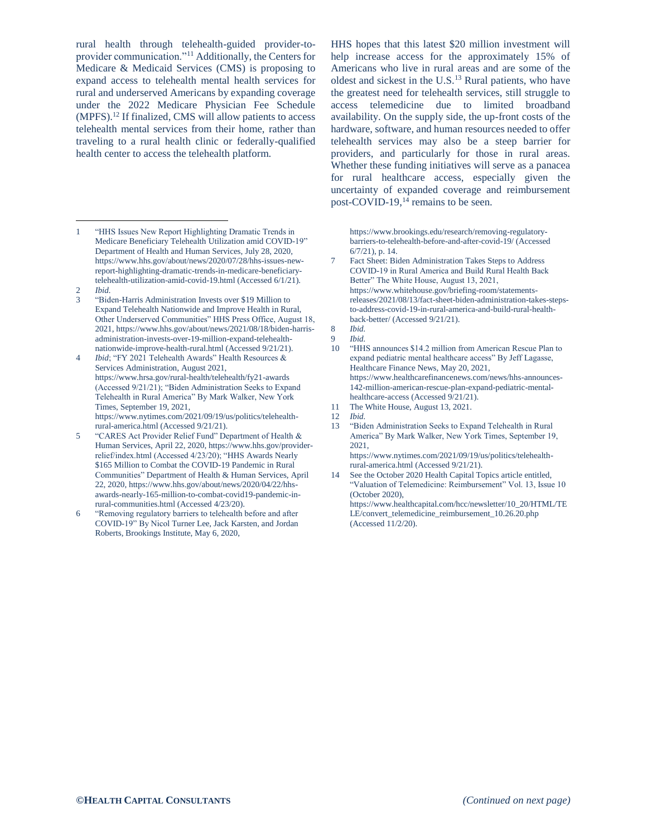rural health through telehealth-guided provider-toprovider communication."<sup>11</sup> Additionally, the Centers for Medicare & Medicaid Services (CMS) is proposing to expand access to telehealth mental health services for rural and underserved Americans by expanding coverage under the 2022 Medicare Physician Fee Schedule (MPFS).<sup>12</sup> If finalized, CMS will allow patients to access telehealth mental services from their home, rather than traveling to a rural health clinic or federally-qualified health center to access the telehealth platform.

- "HHS Issues New Report Highlighting Dramatic Trends in Medicare Beneficiary Telehealth Utilization amid COVID-19" Department of Health and Human Services, July 28, 2020, https://www.hhs.gov/about/news/2020/07/28/hhs-issues-newreport-highlighting-dramatic-trends-in-medicare-beneficiarytelehealth-utilization-amid-covid-19.html (Accessed 6/1/21).  $\overline{a}$
- 2 *Ibid.*
- 3 "Biden-Harris Administration Invests over \$19 Million to Expand Telehealth Nationwide and Improve Health in Rural, Other Underserved Communities" HHS Press Office, August 18, 2021, https://www.hhs.gov/about/news/2021/08/18/biden-harrisadministration-invests-over-19-million-expand-telehealthnationwide-improve-health-rural.html (Accessed 9/21/21).
- 4 *Ibid*; "FY 2021 Telehealth Awards" Health Resources & Services Administration, August 2021, https://www.hrsa.gov/rural-health/telehealth/fy21-awards (Accessed 9/21/21); "Biden Administration Seeks to Expand Telehealth in Rural America" By Mark Walker, New York Times, September 19, 2021, https://www.nytimes.com/2021/09/19/us/politics/telehealth-

rural-america.html (Accessed 9/21/21). 5 "CARES Act Provider Relief Fund" Department of Health & Human Services, April 22, 2020, https://www.hhs.gov/providerrelief/index.html (Accessed 4/23/20); "HHS Awards Nearly \$165 Million to Combat the COVID-19 Pandemic in Rural Communities" Department of Health & Human Services, April 22, 2020, https://www.hhs.gov/about/news/2020/04/22/hhsawards-nearly-165-million-to-combat-covid19-pandemic-inrural-communities.html (Accessed 4/23/20).

6 "Removing regulatory barriers to telehealth before and after COVID-19" By Nicol Turner Lee, Jack Karsten, and Jordan Roberts, Brookings Institute, May 6, 2020,

HHS hopes that this latest \$20 million investment will help increase access for the approximately 15% of Americans who live in rural areas and are some of the oldest and sickest in the U.S.<sup>13</sup> Rural patients, who have the greatest need for telehealth services, still struggle to access telemedicine due to limited broadband availability. On the supply side, the up-front costs of the hardware, software, and human resources needed to offer telehealth services may also be a steep barrier for providers, and particularly for those in rural areas. Whether these funding initiatives will serve as a panacea for rural healthcare access, especially given the uncertainty of expanded coverage and reimbursement post-COVID-19,<sup>14</sup> remains to be seen.

https://www.brookings.edu/research/removing-regulatorybarriers-to-telehealth-before-and-after-covid-19/ (Accessed 6/7/21), p. 14.

7 Fact Sheet: Biden Administration Takes Steps to Address COVID-19 in Rural America and Build Rural Health Back Better" The White House, August 13, 2021, https://www.whitehouse.gov/briefing-room/statementsreleases/2021/08/13/fact-sheet-biden-administration-takes-stepsto-address-covid-19-in-rural-america-and-build-rural-healthback-better/ (Accessed 9/21/21).

- "HHS announces \$14.2 million from American Rescue Plan to expand pediatric mental healthcare access" By Jeff Lagasse, Healthcare Finance News, May 20, 2021, https://www.healthcarefinancenews.com/news/hhs-announces-142-million-american-rescue-plan-expand-pediatric-mentalhealthcare-access (Accessed 9/21/21).
- 11 The White House, August 13, 2021.

13 "Biden Administration Seeks to Expand Telehealth in Rural America" By Mark Walker, New York Times, September 19, 2021,

https://www.nytimes.com/2021/09/19/us/politics/telehealthrural-america.html (Accessed 9/21/21).

14 See the October 2020 Health Capital Topics article entitled, "Valuation of Telemedicine: Reimbursement" Vol. 13, Issue 10 (October 2020),

https://www.healthcapital.com/hcc/newsletter/10\_20/HTML/TE LE/convert\_telemedicine\_reimbursement\_10.26.20.php (Accessed 11/2/20).

<sup>8</sup> *Ibid.*

<sup>9</sup> *Ibid.*

<sup>12</sup> *Ibid.*